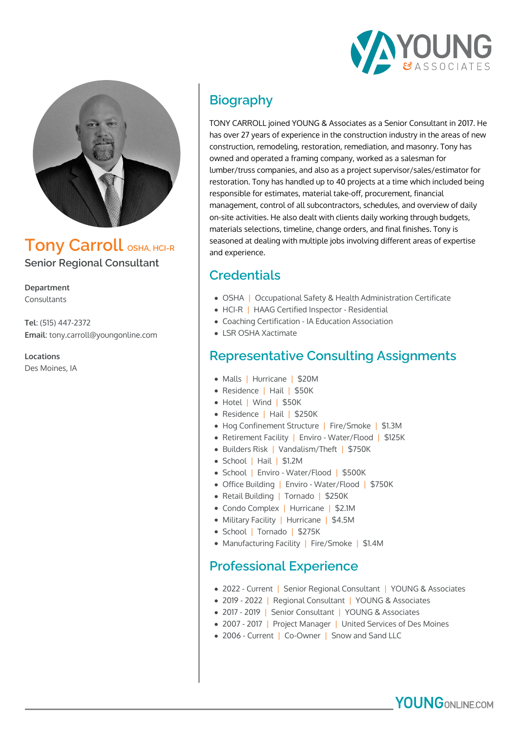



**Tony Carroll OSHA, HCI-R Senior Regional Consultant**

**Department** Consultants

**Tel**: (515) 447-2372

**Email**: tony.carroll@youngonline.com

**Locations** Des Moines, IA

# **Biography**

TONY CARROLL joined YOUNG & Associates as a Senior Consultant in 2017. He has over 27 years of experience in the construction industry in the areas of new construction, remodeling, restoration, remediation, and masonry. Tony has owned and operated a framing company, worked as a salesman for lumber/truss companies, and also as a project supervisor/sales/estimator for restoration. Tony has handled up to 40 projects at a time which included being responsible for estimates, material take-off, procurement, financial management, control of all subcontractors, schedules, and overview of daily on-site activities. He also dealt with clients daily working through budgets, materials selections, timeline, change orders, and final finishes. Tony is seasoned at dealing with multiple jobs involving different areas of expertise and experience.

## **Credentials**

- OSHA | Occupational Safety & Health Administration Certificate
- HCI-R | HAAG Certified Inspector Residential
- Coaching Certification IA Education Association
- LSR OSHA Xactimate

#### **Representative Consulting Assignments**

- Malls | Hurricane | \$20M
- Residence | Hail | \$50K
- Hotel | Wind | \$50K
- Residence | Hail | \$250K
- Hog Confinement Structure | Fire/Smoke | \$1.3M
- Retirement Facility | Enviro Water/Flood | \$125K
- Builders Risk | Vandalism/Theft | \$750K
- School | Hail | \$1.2M
- School | Enviro Water/Flood | \$500K
- Office Building | Enviro Water/Flood | \$750K
- Retail Building | Tornado | \$250K
- Condo Complex | Hurricane | \$2.1M
- Military Facility | Hurricane | \$4.5M
- School | Tornado | \$275K
- Manufacturing Facility | Fire/Smoke | \$1.4M

#### **Professional Experience**

- 2022 Current | Senior Regional Consultant | YOUNG & Associates
- 2019 2022 | Regional Consultant | YOUNG & Associates
- 2017 2019 | Senior Consultant | YOUNG & Associates
- 2007 2017 | Project Manager | United Services of Des Moines
- 2006 Current | Co-Owner | Snow and Sand LLC